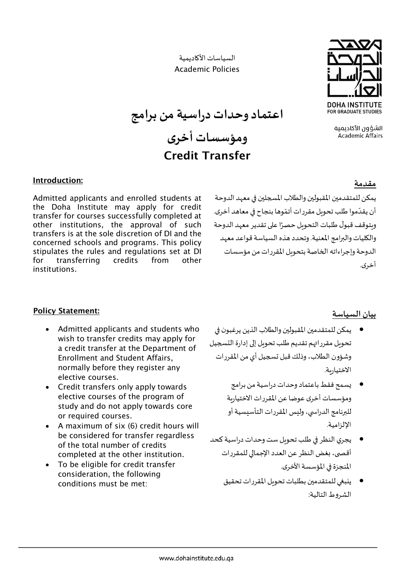السياسات الأ�اديمية Academic Policies



الشؤون الأكادىمىة **Academic Affairs** 

**اعتماد وحدات دراسية من برامج** 

# **ومؤسسات أخرى** Credit Transfer

### **مقدمة**

يمكن للمتقدمين المقبولين والطلاب المسجلين في معهد الدوحة **.** أن يقدّموا طلب تحويل مقررات أتمّوها بنجاح في معاهد أخرى. وبتوقف قبول طلبات التحويل حصرًا على تقدير معهد الدوحة والكليات والبرامج المعنية. وتحدد هذه السياسة قواعد معهد الدوحة وإجراءاته الخاصة بتحوىل المقررات من مؤسسات أخرى.

### Introduction:

Admitted applicants and enrolled students at the Doha Institute may apply for credit transfer for courses successfully completed at other institutions, the approval of such transfers is at the sole discretion of DI and the concerned schools and programs. This policy stipulates the rules and regulations set at DI for transferring credits from other institutions.

## Policy Statement:

- Admitted applicants and students who wish to transfer credits may apply for a credit transfer at the Department of Enrollment and Student Affairs, normally before they register any elective courses.
- Credit transfers only apply towards elective courses of the program of study and do not apply towards core or required courses.
- A maximum of six (6) credit hours will be considered for transfer regardless of the total number of credits completed at the other institution.
- To be eligible for credit transfer consideration, the following conditions must be met:

## **بيان السياسة**

- يمكن للمتقدم�ن المقبول�ن والطلاب الذين يرغبو ن �� تحويل مقرراتهم تقديم طلب تحويل إلى إدارة التسجيل وشؤون الطلاب، وذلك قبل ��جيل أي من المقررات الاختيار�ة.
	- �سمح فقط باعتماد وحدات دراسية من برامج ومؤسسات أخرى عوضا عن المقررات الاختيار�ة للبرنامج الدراسي، وليس المقررات التأسيسية أو الإلزامية.
- يجري النظر في طلب تحويل ست وحدات دراسية كحد أقصى، بغض النظر عن العدد الإجمالي للمقررات المنجزة في المؤسسة الأخرى.
	- ينبغي للمتقدمين بطلبات تحوىل المقررات تحقيق الشروط التالية: